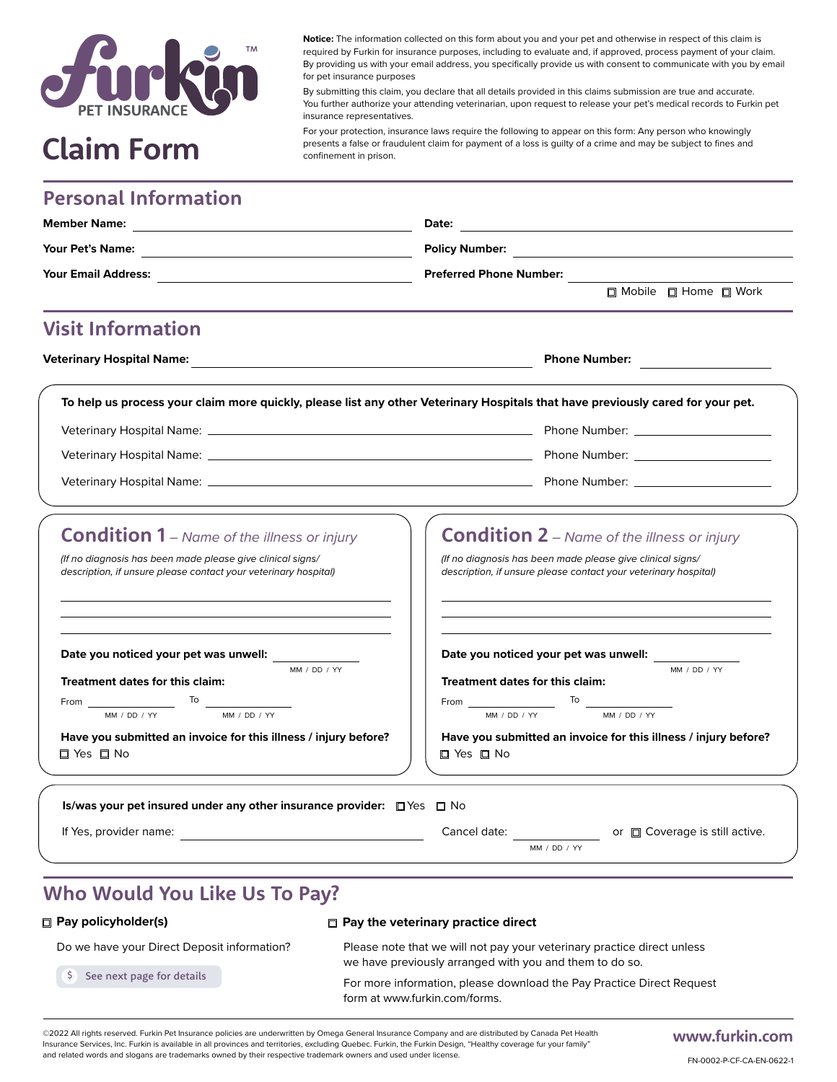

**Notice:** The information collected on this form about you and your pet and otherwise in respect of this claim is required by Furkin for insurance purposes, including to evaluate and, if approved, process payment of your claim. By providing us with your email address, you specifically provide us with consent to communicate with you by email for pet insurance purposes

By submitting this claim, you declare that all details provided in this claims submission are true and accurate. You further authorize your attending veterinarian, upon request to release your pet's medical records to Furkin pet insurance representatives.

For your protection, insurance laws require the following to appear on this form: Any person who knowingly **Claim** Form **Exercise a false or fraudulent claim** for payment of a loss is guilty of a crime and may be subject to fines and confinement in prison.

# **Personal Information**

| <b>Member Name:</b><br><u> 1989 - Johann Barn, mars ann an t-Amhain Aonaich an t-Aonaich an t-Aonaich ann an t-Aonaich ann an t-Aonaich</u>                                                                                          | Date:<br><u> 1989 - Johann Stoff, deutscher Stoffen und der Stoffen und der Stoffen und der Stoffen und der Stoffen und de</u> |  |
|--------------------------------------------------------------------------------------------------------------------------------------------------------------------------------------------------------------------------------------|--------------------------------------------------------------------------------------------------------------------------------|--|
|                                                                                                                                                                                                                                      | <b>Preferred Phone Number:</b>                                                                                                 |  |
|                                                                                                                                                                                                                                      |                                                                                                                                |  |
|                                                                                                                                                                                                                                      | <b>Visit Information</b>                                                                                                       |  |
|                                                                                                                                                                                                                                      | Phone Number:                                                                                                                  |  |
| To help us process your claim more quickly, please list any other Veterinary Hospitals that have previously cared for your pet.                                                                                                      |                                                                                                                                |  |
|                                                                                                                                                                                                                                      |                                                                                                                                |  |
|                                                                                                                                                                                                                                      |                                                                                                                                |  |
|                                                                                                                                                                                                                                      |                                                                                                                                |  |
| description, if unsure please contact your veterinary hospital)                                                                                                                                                                      | description, if unsure please contact your veterinary hospital)                                                                |  |
| Date you noticed your pet was unwell:<br>MM / DD / YY                                                                                                                                                                                | Date you noticed your pet was unwell:<br>MM / DD / YY                                                                          |  |
| Treatment dates for this claim:                                                                                                                                                                                                      | <b>Treatment dates for this claim:</b>                                                                                         |  |
| From $\frac{1}{\frac{MN / DD / YY}{MN / DD / YY}}$ To $\frac{1}{\frac{MN / DD / YY}{MN / DD / YY}}$                                                                                                                                  | From $\frac{1}{\frac{MN}{D} \cdot \frac{ND}{YY}}$ To $\frac{1}{\frac{MN}{D} \cdot \frac{DD}{YY}}$                              |  |
| Have you submitted an invoice for this illness / injury before?<br>□ Yes □ No                                                                                                                                                        | Have you submitted an invoice for this illness / injury before?<br>$\square$ Yes $\square$ No                                  |  |
| Is/was your pet insured under any other insurance provider: $\Box$ Yes $\Box$ No                                                                                                                                                     |                                                                                                                                |  |
| If Yes, provider name: <u>contract and the set of the set of the set of the set of the set of the set of the set of the set of the set of the set of the set of the set of the set of the set of the set of the set of the set o</u> | Cancel date: or coverage is still active.                                                                                      |  |
|                                                                                                                                                                                                                                      | MM / DD / YY                                                                                                                   |  |

# **Who Would You Like Us To Pay?**

### **Pay policyholder(s)**

### **Pay the veterinary practice direct**

Do we have your Direct Deposit information?

See next page for details

Please note that we will not pay your veterinary practice direct unless

we have previously arranged with you and them to do so.

For more information, please download the Pay Practice Direct Request form at www.furkin.com/forms.

©2022 All rights reserved. Furkin Pet Insurance policies are underwritten by Omega General Insurance Company and are distributed by Canada Pet Health Insurance Services, Inc. Furkin is available in all provinces and territories, excluding Quebec. Furkin, the Furkin Design, "Healthy coverage fur your family" and related words and slogans are trademarks owned by their respective trademark owners and used under license.

# **www.furkin.com**